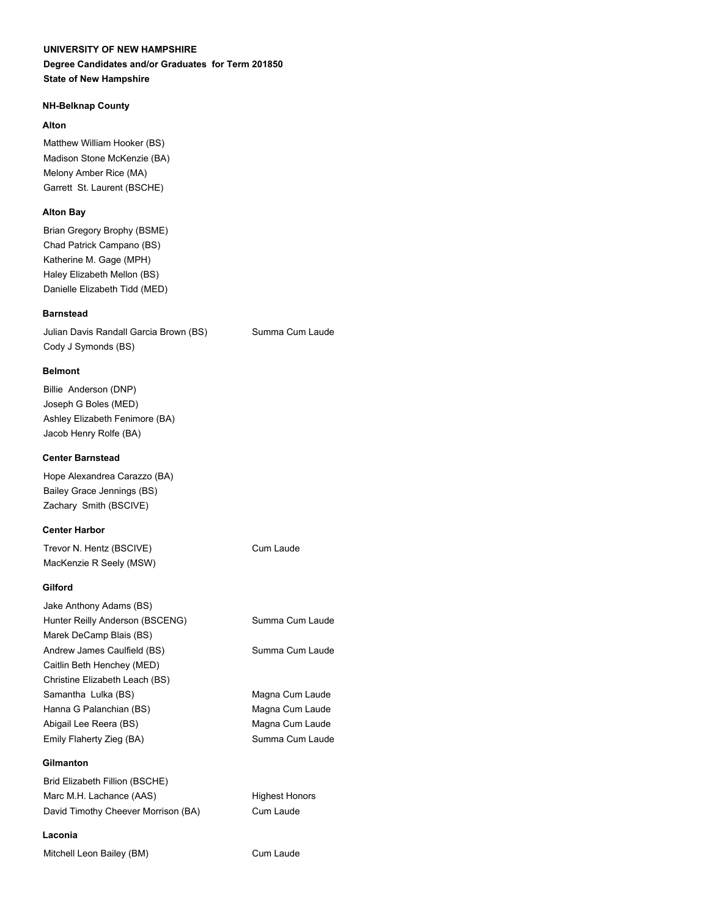#### **UNIVERSITY OF NEW HAMPSHIRE**

#### **Degree Candidates and/or Graduates for Term 201850 State of New Hampshire**

#### **NH-Belknap County**

#### **Alton**

Matthew William Hooker (BS) Madison Stone McKenzie (BA) Melony Amber Rice (MA) Garrett St. Laurent (BSCHE)

#### **Alton Bay**

Brian Gregory Brophy (BSME) Chad Patrick Campano (BS) Katherine M. Gage (MPH) Haley Elizabeth Mellon (BS) Danielle Elizabeth Tidd (MED)

#### **Barnstead**

Julian Davis Randall Garcia Brown (BS) Summa Cum Laude Cody J Symonds (BS)

#### **Belmont**

Billie Anderson (DNP) Joseph G Boles (MED) Ashley Elizabeth Fenimore (BA) Jacob Henry Rolfe (BA)

#### **Center Barnstead**

Hope Alexandrea Carazzo (BA) Bailey Grace Jennings (BS) Zachary Smith (BSCIVE)

#### **Center Harbor**

Trevor N. Hentz (BSCIVE) Cum Laude MacKenzie R Seely (MSW)

#### **Gilford**

| Jake Anthony Adams (BS)         |                 |
|---------------------------------|-----------------|
| Hunter Reilly Anderson (BSCENG) | Summa Cum Laude |
| Marek DeCamp Blais (BS)         |                 |
| Andrew James Caulfield (BS)     | Summa Cum Laude |
| Caitlin Beth Henchey (MED)      |                 |
| Christine Elizabeth Leach (BS)  |                 |
| Samantha Lulka (BS)             | Magna Cum Laude |
| Hanna G Palanchian (BS)         | Magna Cum Laude |
| Abigail Lee Reera (BS)          | Magna Cum Laude |
| Emily Flaherty Zieg (BA)        | Summa Cum Laude |
|                                 |                 |

#### **Gilmanton**

Brid Elizabeth Fillion (BSCHE) Marc M.H. Lachance (AAS) Highest Honors David Timothy Cheever Morrison (BA) Cum Laude

#### **Laconia**

Mitchell Leon Bailey (BM) Cum Laude